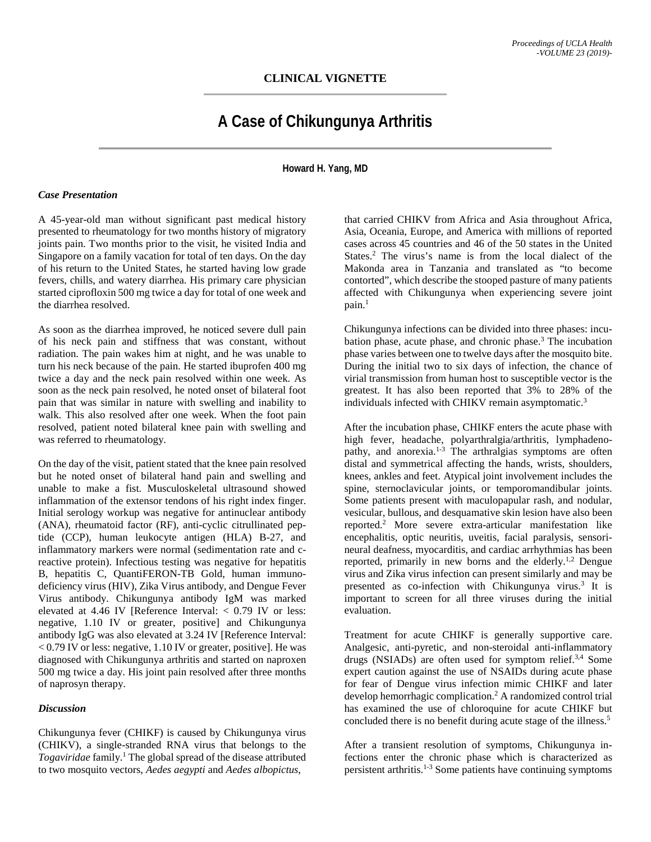## **CLINICAL VIGNETTE**

# **A Case of Chikungunya Arthritis**

**Howard H. Yang, MD**

#### *Case Presentation*

A 45-year-old man without significant past medical history presented to rheumatology for two months history of migratory joints pain. Two months prior to the visit, he visited India and Singapore on a family vacation for total of ten days. On the day of his return to the United States, he started having low grade fevers, chills, and watery diarrhea. His primary care physician started ciprofloxin 500 mg twice a day for total of one week and the diarrhea resolved.

As soon as the diarrhea improved, he noticed severe dull pain of his neck pain and stiffness that was constant, without radiation. The pain wakes him at night, and he was unable to turn his neck because of the pain. He started ibuprofen 400 mg twice a day and the neck pain resolved within one week. As soon as the neck pain resolved, he noted onset of bilateral foot pain that was similar in nature with swelling and inability to walk. This also resolved after one week. When the foot pain resolved, patient noted bilateral knee pain with swelling and was referred to rheumatology.

On the day of the visit, patient stated that the knee pain resolved but he noted onset of bilateral hand pain and swelling and unable to make a fist. Musculoskeletal ultrasound showed inflammation of the extensor tendons of his right index finger. Initial serology workup was negative for antinuclear antibody (ANA), rheumatoid factor (RF), anti-cyclic citrullinated peptide (CCP), human leukocyte antigen (HLA) B-27, and inflammatory markers were normal (sedimentation rate and creactive protein). Infectious testing was negative for hepatitis B, hepatitis C, QuantiFERON-TB Gold, human immunodeficiency virus (HIV), Zika Virus antibody, and Dengue Fever Virus antibody. Chikungunya antibody IgM was marked elevated at 4.46 IV [Reference Interval: < 0.79 IV or less: negative, 1.10 IV or greater, positive] and Chikungunya antibody IgG was also elevated at 3.24 IV [Reference Interval: < 0.79 IV or less: negative, 1.10 IV or greater, positive]. He was diagnosed with Chikungunya arthritis and started on naproxen 500 mg twice a day. His joint pain resolved after three months of naprosyn therapy.

#### *Discussion*

Chikungunya fever (CHIKF) is caused by Chikungunya virus (CHIKV), a single-stranded RNA virus that belongs to the *Togaviridae* family. <sup>1</sup> The global spread of the disease attributed to two mosquito vectors, *Aedes aegypti* and *Aedes albopictus*,

that carried CHIKV from Africa and Asia throughout Africa, Asia, Oceania, Europe, and America with millions of reported cases across 45 countries and 46 of the 50 states in the United States. <sup>2</sup> The virus's name is from the local dialect of the Makonda area in Tanzania and translated as "to become contorted", which describe the stooped pasture of many patients affected with Chikungunya when experiencing severe joint pain. 1

Chikungunya infections can be divided into three phases: incubation phase, acute phase, and chronic phase.3 The incubation phase varies between one to twelve days after the mosquito bite. During the initial two to six days of infection, the chance of virial transmission from human host to susceptible vector is the greatest. It has also been reported that 3% to 28% of the individuals infected with CHIKV remain asymptomatic.<sup>3</sup>

After the incubation phase, CHIKF enters the acute phase with high fever, headache, polyarthralgia/arthritis, lymphadenopathy, and anorexia. $1-3$  The arthralgias symptoms are often distal and symmetrical affecting the hands, wrists, shoulders, knees, ankles and feet. Atypical joint involvement includes the spine, sternoclavicular joints, or temporomandibular joints. Some patients present with maculopapular rash, and nodular, vesicular, bullous, and desquamative skin lesion have also been reported.2 More severe extra-articular manifestation like encephalitis, optic neuritis, uveitis, facial paralysis, sensorineural deafness, myocarditis, and cardiac arrhythmias has been reported, primarily in new borns and the elderly.<sup>1,2</sup> Dengue virus and Zika virus infection can present similarly and may be presented as co-infection with Chikungunya virus. <sup>3</sup> It is important to screen for all three viruses during the initial evaluation.

Treatment for acute CHIKF is generally supportive care. Analgesic, anti-pyretic, and non-steroidal anti-inflammatory drugs (NSIADs) are often used for symptom relief.<sup>3,4</sup> Some expert caution against the use of NSAIDs during acute phase for fear of Dengue virus infection mimic CHIKF and later develop hemorrhagic complication.<sup>2</sup> A randomized control trial has examined the use of chloroquine for acute CHIKF but concluded there is no benefit during acute stage of the illness.<sup>5</sup>

After a transient resolution of symptoms, Chikungunya infections enter the chronic phase which is characterized as persistent arthritis.1-3 Some patients have continuing symptoms